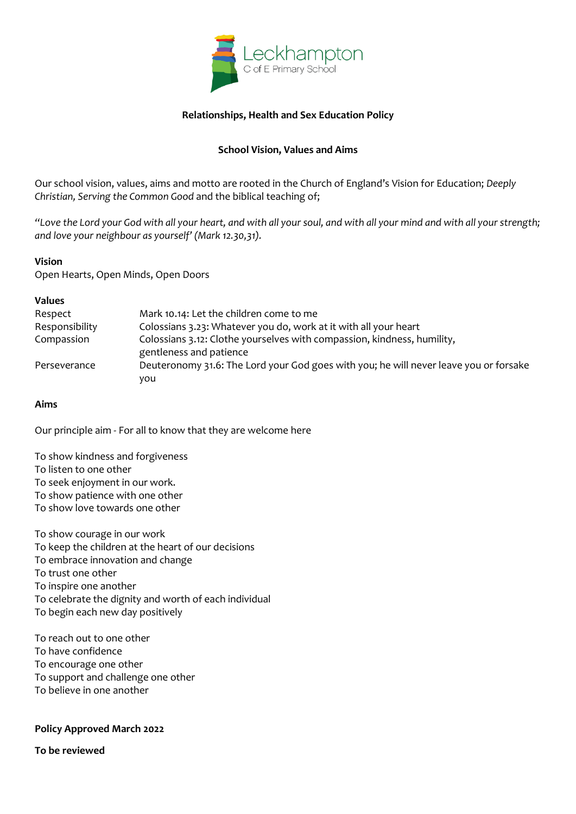

#### **Relationships, Health and Sex Education Policy**

### **School Vision, Values and Aims**

Our school vision, values, aims and motto are rooted in the Church of England's Vision for Education; *Deeply Christian, Serving the Common Good* and the biblical teaching of;

*"Love the Lord your God with all your heart, and with all your soul, and with all your mind and with all your strength; and love your neighbour as yourself' (Mark 12.30,31).*

#### **Vision**

Open Hearts, Open Minds, Open Doors

| <b>Values</b>  |                                                                                                    |
|----------------|----------------------------------------------------------------------------------------------------|
| Respect        | Mark 10.14: Let the children come to me                                                            |
| Responsibility | Colossians 3.23: Whatever you do, work at it with all your heart                                   |
| Compassion     | Colossians 3.12: Clothe yourselves with compassion, kindness, humility,<br>gentleness and patience |
| Perseverance   | Deuteronomy 31.6: The Lord your God goes with you; he will never leave you or forsake<br>you       |

#### **Aims**

Our principle aim - For all to know that they are welcome here

To show kindness and forgiveness To listen to one other To seek enjoyment in our work. To show patience with one other To show love towards one other

To show courage in our work To keep the children at the heart of our decisions To embrace innovation and change To trust one other To inspire one another To celebrate the dignity and worth of each individual To begin each new day positively

To reach out to one other To have confidence To encourage one other To support and challenge one other To believe in one another

#### **Policy Approved March 2022**

**To be reviewed**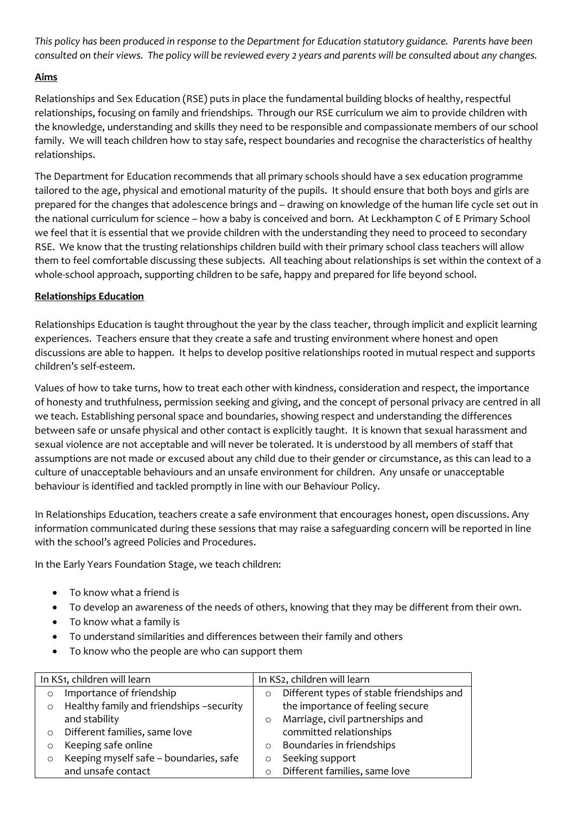*This policy has been produced in response to the Department for Education statutory guidance. Parents have been consulted on their views. The policy will be reviewed every 2 years and parents will be consulted about any changes.*

## **Aims**

Relationships and Sex Education (RSE) puts in place the fundamental building blocks of healthy, respectful relationships, focusing on family and friendships. Through our RSE curriculum we aim to provide children with the knowledge, understanding and skills they need to be responsible and compassionate members of our school family. We will teach children how to stay safe, respect boundaries and recognise the characteristics of healthy relationships.

The Department for Education recommends that all primary schools should have a sex education programme tailored to the age, physical and emotional maturity of the pupils. It should ensure that both boys and girls are prepared for the changes that adolescence brings and – drawing on knowledge of the human life cycle set out in the national curriculum for science – how a baby is conceived and born. At Leckhampton C of E Primary School we feel that it is essential that we provide children with the understanding they need to proceed to secondary RSE. We know that the trusting relationships children build with their primary school class teachers will allow them to feel comfortable discussing these subjects. All teaching about relationships is set within the context of a whole-school approach, supporting children to be safe, happy and prepared for life beyond school.

#### **Relationships Education**

Relationships Education is taught throughout the year by the class teacher, through implicit and explicit learning experiences. Teachers ensure that they create a safe and trusting environment where honest and open discussions are able to happen. It helps to develop positive relationships rooted in mutual respect and supports children's self-esteem.

Values of how to take turns, how to treat each other with kindness, consideration and respect, the importance of honesty and truthfulness, permission seeking and giving, and the concept of personal privacy are centred in all we teach. Establishing personal space and boundaries, showing respect and understanding the differences between safe or unsafe physical and other contact is explicitly taught. It is known that sexual harassment and sexual violence are not acceptable and will never be tolerated. It is understood by all members of staff that assumptions are not made or excused about any child due to their gender or circumstance, as this can lead to a culture of unacceptable behaviours and an unsafe environment for children. Any unsafe or unacceptable behaviour is identified and tackled promptly in line with our Behaviour Policy.

In Relationships Education, teachers create a safe environment that encourages honest, open discussions. Any information communicated during these sessions that may raise a safeguarding concern will be reported in line with the school's agreed Policies and Procedures.

In the Early Years Foundation Stage, we teach children:

- To know what a friend is
- To develop an awareness of the needs of others, knowing that they may be different from their own.
- To know what a family is
- To understand similarities and differences between their family and others
- To know who the people are who can support them

| In KS1, children will learn |                                          |         | In KS2, children will learn               |
|-----------------------------|------------------------------------------|---------|-------------------------------------------|
| $\circ$                     | Importance of friendship                 | $\circ$ | Different types of stable friendships and |
| $\circ$                     | Healthy family and friendships -security |         | the importance of feeling secure          |
|                             | and stability                            | $\circ$ | Marriage, civil partnerships and          |
| $\Omega$                    | Different families, same love            |         | committed relationships                   |
|                             | Keeping safe online                      | $\circ$ | Boundaries in friendships                 |
| $\circ$                     | Keeping myself safe - boundaries, safe   | $\circ$ | Seeking support                           |
|                             | and unsafe contact                       |         | Different families, same love             |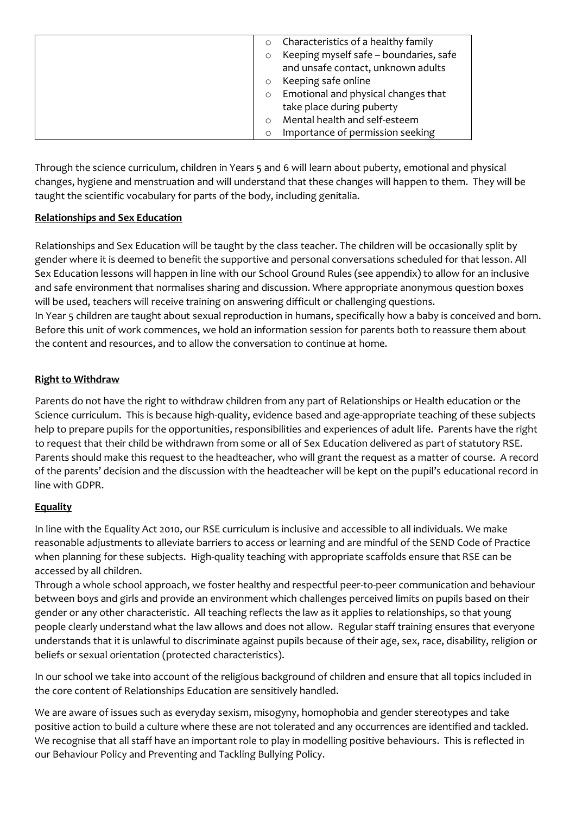| Characteristics of a healthy family               |
|---------------------------------------------------|
| Keeping myself safe - boundaries, safe<br>$\circ$ |
| and unsafe contact, unknown adults                |
| Keeping safe online                               |
| Emotional and physical changes that<br>$\Omega$   |
| take place during puberty                         |
| Mental health and self-esteem                     |
| Importance of permission seeking                  |

Through the science curriculum, children in Years 5 and 6 will learn about puberty, emotional and physical changes, hygiene and menstruation and will understand that these changes will happen to them. They will be taught the scientific vocabulary for parts of the body, including genitalia.

## **Relationships and Sex Education**

Relationships and Sex Education will be taught by the class teacher. The children will be occasionally split by gender where it is deemed to benefit the supportive and personal conversations scheduled for that lesson. All Sex Education lessons will happen in line with our School Ground Rules (see appendix) to allow for an inclusive and safe environment that normalises sharing and discussion. Where appropriate anonymous question boxes will be used, teachers will receive training on answering difficult or challenging questions. In Year 5 children are taught about sexual reproduction in humans, specifically how a baby is conceived and born. Before this unit of work commences, we hold an information session for parents both to reassure them about the content and resources, and to allow the conversation to continue at home.

## **Right to Withdraw**

Parents do not have the right to withdraw children from any part of Relationships or Health education or the Science curriculum. This is because high-quality, evidence based and age-appropriate teaching of these subjects help to prepare pupils for the opportunities, responsibilities and experiences of adult life. Parents have the right to request that their child be withdrawn from some or all of Sex Education delivered as part of statutory RSE. Parents should make this request to the headteacher, who will grant the request as a matter of course. A record of the parents' decision and the discussion with the headteacher will be kept on the pupil's educational record in line with GDPR.

# **Equality**

In line with the Equality Act 2010, our RSE curriculum is inclusive and accessible to all individuals. We make reasonable adjustments to alleviate barriers to access or learning and are mindful of the SEND Code of Practice when planning for these subjects. High-quality teaching with appropriate scaffolds ensure that RSE can be accessed by all children.

Through a whole school approach, we foster healthy and respectful peer-to-peer communication and behaviour between boys and girls and provide an environment which challenges perceived limits on pupils based on their gender or any other characteristic. All teaching reflects the law as it applies to relationships, so that young people clearly understand what the law allows and does not allow. Regular staff training ensures that everyone understands that it is unlawful to discriminate against pupils because of their age, sex, race, disability, religion or beliefs or sexual orientation (protected characteristics).

In our school we take into account of the religious background of children and ensure that all topics included in the core content of Relationships Education are sensitively handled.

We are aware of issues such as everyday sexism, misogyny, homophobia and gender stereotypes and take positive action to build a culture where these are not tolerated and any occurrences are identified and tackled. We recognise that all staff have an important role to play in modelling positive behaviours. This is reflected in our Behaviour Policy and Preventing and Tackling Bullying Policy.